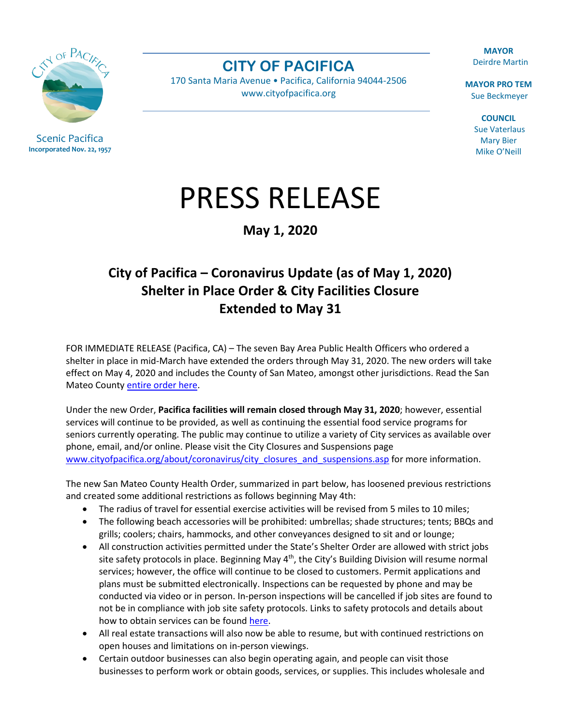CIN OF PAC

Scenic Pacifica **Incorporated Nov. 22, 1957**

**MAYOR** Deirdre Martin

**MAYOR PRO TEM** Sue Beckmeyer

> **COUNCIL** Sue Vaterlaus Mary Bier Mike O'Neill

## PRESS RELEASE

**CITY OF PACIFICA** 170 Santa Maria Avenue • Pacifica, California 94044-2506 [www.cityofpacifica.org](http://www.cityofpacifica.org/)

**May 1, 2020**

## **City of Pacifica – Coronavirus Update (as of May 1, 2020) Shelter in Place Order & City Facilities Closure Extended to May 31**

FOR IMMEDIATE RELEASE (Pacifica, CA) – The seven Bay Area Public Health Officers who ordered a shelter in place in mid-March have extended the orders through May 31, 2020. The new orders will take effect on May 4, 2020 and includes the County of San Mateo, amongst other jurisdictions. Read the San Mateo Count[y entire order here.](https://www.smcgov.org/sites/smcgov.org/files/documents/files/Health%20Officer%20Order%20Revising%20Shelter%20In%20Place%20Through%20May%2031.pdf)

Under the new Order, **Pacifica facilities will remain closed through May 31, 2020**; however, essential services will continue to be provided, as well as continuing the essential food service programs for seniors currently operating. The public may continue to utilize a variety of City services as available over phone, email, and/or online. Please visit the City Closures and Suspensions page [www.cityofpacifica.org/about/coronavirus/city\\_closures\\_and\\_suspensions.asp](https://www.cityofpacifica.org/about/coronavirus/city_closures_and_suspensions.asp) for more information.

The new San Mateo County Health Order, summarized in part below, has loosened previous restrictions and created some additional restrictions as follows beginning May 4th:

- The radius of travel for essential exercise activities will be revised from 5 miles to 10 miles;
- The following beach accessories will be prohibited: umbrellas; shade structures; tents; BBQs and grills; coolers; chairs, hammocks, and other conveyances designed to sit and or lounge;
- All construction activities permitted under the State's Shelter Order are allowed with strict jobs site safety protocols in place. Beginning May 4<sup>th</sup>, the City's Building Division will resume normal services; however, the office will continue to be closed to customers. Permit applications and plans must be submitted electronically. Inspections can be requested by phone and may be conducted via video or in person. In-person inspections will be cancelled if job sites are found to not be in compliance with job site safety protocols. Links to safety protocols and details about how to obtain services can be found [here.](https://www.cityofpacifica.org/civicax/filebank/blobdload.aspx?t=51135.98&BlobID=16849)
- All real estate transactions will also now be able to resume, but with continued restrictions on open houses and limitations on in-person viewings.
- Certain outdoor businesses can also begin operating again, and people can visit those businesses to perform work or obtain goods, services, or supplies. This includes wholesale and